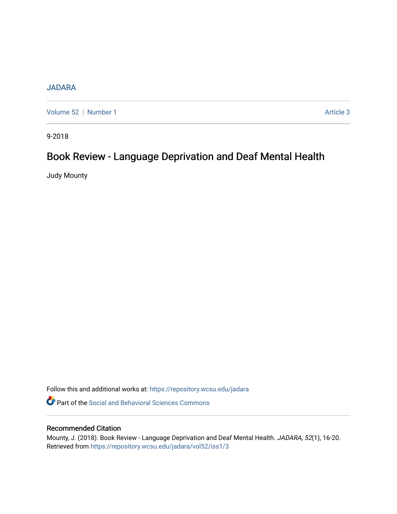## **[JADARA](https://repository.wcsu.edu/jadara)**

[Volume 52](https://repository.wcsu.edu/jadara/vol52) | [Number 1](https://repository.wcsu.edu/jadara/vol52/iss1) Article 3

9-2018

# Book Review - Language Deprivation and Deaf Mental Health

Judy Mounty

Follow this and additional works at: [https://repository.wcsu.edu/jadara](https://repository.wcsu.edu/jadara?utm_source=repository.wcsu.edu%2Fjadara%2Fvol52%2Fiss1%2F3&utm_medium=PDF&utm_campaign=PDFCoverPages)

**P** Part of the Social and Behavioral Sciences Commons

### Recommended Citation

Mounty, J. (2018). Book Review - Language Deprivation and Deaf Mental Health. JADARA, 52(1), 16-20. Retrieved from [https://repository.wcsu.edu/jadara/vol52/iss1/3](https://repository.wcsu.edu/jadara/vol52/iss1/3?utm_source=repository.wcsu.edu%2Fjadara%2Fvol52%2Fiss1%2F3&utm_medium=PDF&utm_campaign=PDFCoverPages)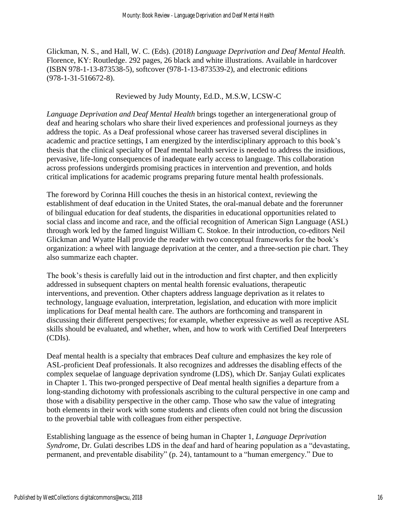Glickman, N. S., and Hall, W. C. (Eds). (2018) *Language Deprivation and Deaf Mental Health.*  Florence, KY: Routledge. 292 pages, 26 black and white illustrations. Available in hardcover (ISBN 978-1-13-873538-5), softcover (978-1-13-873539-2), and electronic editions (978-1-31-516672-8).

#### Reviewed by Judy Mounty, Ed.D., M.S.W, LCSW-C

*Language Deprivation and Deaf Mental Health* brings together an intergenerational group of deaf and hearing scholars who share their lived experiences and professional journeys as they address the topic. As a Deaf professional whose career has traversed several disciplines in academic and practice settings, I am energized by the interdisciplinary approach to this book's thesis that the clinical specialty of Deaf mental health service is needed to address the insidious, pervasive, life-long consequences of inadequate early access to language. This collaboration across professions undergirds promising practices in intervention and prevention, and holds critical implications for academic programs preparing future mental health professionals.

The foreword by Corinna Hill couches the thesis in an historical context, reviewing the establishment of deaf education in the United States, the oral-manual debate and the forerunner of bilingual education for deaf students, the disparities in educational opportunities related to social class and income and race, and the official recognition of American Sign Language (ASL) through work led by the famed linguist William C. Stokoe. In their introduction, co-editors Neil Glickman and Wyatte Hall provide the reader with two conceptual frameworks for the book's organization: a wheel with language deprivation at the center, and a three-section pie chart. They also summarize each chapter.

The book's thesis is carefully laid out in the introduction and first chapter, and then explicitly addressed in subsequent chapters on mental health forensic evaluations, therapeutic interventions, and prevention. Other chapters address language deprivation as it relates to technology, language evaluation, interpretation, legislation, and education with more implicit implications for Deaf mental health care. The authors are forthcoming and transparent in discussing their different perspectives; for example, whether expressive as well as receptive ASL skills should be evaluated, and whether, when, and how to work with Certified Deaf Interpreters (CDIs).

Deaf mental health is a specialty that embraces Deaf culture and emphasizes the key role of ASL-proficient Deaf professionals. It also recognizes and addresses the disabling effects of the complex sequelae of language deprivation syndrome (LDS), which Dr. Sanjay Gulati explicates in Chapter 1. This two-pronged perspective of Deaf mental health signifies a departure from a long-standing dichotomy with professionals ascribing to the cultural perspective in one camp and those with a disability perspective in the other camp. Those who saw the value of integrating both elements in their work with some students and clients often could not bring the discussion to the proverbial table with colleagues from either perspective.

Establishing language as the essence of being human in Chapter 1, *Language Deprivation Syndrome*, Dr. Gulati describes LDS in the deaf and hard of hearing population as a "devastating, permanent, and preventable disability" (p. 24), tantamount to a "human emergency." Due to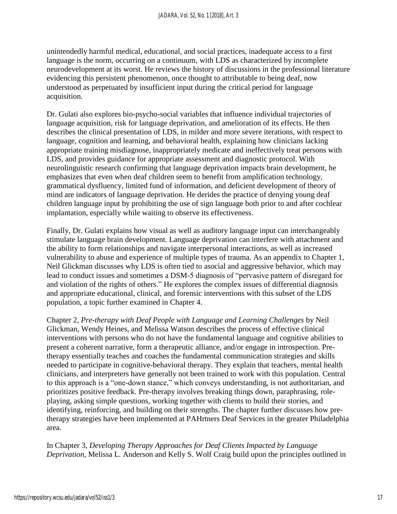unintendedly harmful medical, educational, and social practices, inadequate access to a first language is the norm, occurring on a continuum, with LDS as characterized by incomplete neurodevelopment at its worst. He reviews the history of discussions in the professional literature evidencing this persistent phenomenon, once thought to attributable to being deaf, now understood as perpetuated by insufficient input during the critical period for language acquisition.

Dr. Gulati also explores bio-psycho-social variables that influence individual trajectories of language acquisition, risk for language deprivation, and amelioration of its effects. He then describes the clinical presentation of LDS, in milder and more severe iterations, with respect to language, cognition and learning, and behavioral health, explaining how clinicians lacking appropriate training misdiagnose, inappropriately medicate and ineffectively treat persons with LDS, and provides guidance for appropriate assessment and diagnostic protocol. With neurolinguistic research confirming that language deprivation impacts brain development, he emphasizes that even when deaf children seem to benefit from amplification technology, grammatical dysfluency, limited fund of information, and deficient development of theory of mind are indicators of language deprivation. He derides the practice of denying young deaf children language input by prohibiting the use of sign language both prior to and after cochlear implantation, especially while waiting to observe its effectiveness.

Finally, Dr. Gulati explains how visual as well as auditory language input can interchangeably stimulate language brain development. Language deprivation can interfere with attachment and the ability to form relationships and navigate interpersonal interactions, as well as increased vulnerability to abuse and experience of multiple types of trauma. As an appendix to Chapter 1, Neil Glickman discusses why LDS is often tied to asocial and aggressive behavior, which may lead to conduct issues and sometimes a DSM-5 diagnosis of "pervasive pattern of disregard for and violation of the rights of others." He explores the complex issues of differential diagnosis and appropriate educational, clinical, and forensic interventions with this subset of the LDS population, a topic further examined in Chapter 4.

Chapter 2, *Pre-therapy with Deaf People with Language and Learning Challenges* by Neil Glickman, Wendy Heines, and Melissa Watson describes the process of effective clinical interventions with persons who do not have the fundamental language and cognitive abilities to present a coherent narrative, form a therapeutic alliance, and/or engage in introspection. Pretherapy essentially teaches and coaches the fundamental communication strategies and skills needed to participate in cognitive-behavioral therapy. They explain that teachers, mental health clinicians, and interpreters have generally not been trained to work with this population. Central to this approach is a "one-down stance," which conveys understanding, is not authoritarian, and prioritizes positive feedback. Pre-therapy involves breaking things down, paraphrasing, roleplaying, asking simple questions, working together with clients to build their stories, and identifying, reinforcing, and building on their strengths. The chapter further discusses how pretherapy strategies have been implemented at PAHrtners Deaf Services in the greater Philadelphia area.

In Chapter 3, *Developing Therapy Approaches for Deaf Clients Impacted by Language Deprivation,* Melissa L. Anderson and Kelly S. Wolf Craig build upon the principles outlined in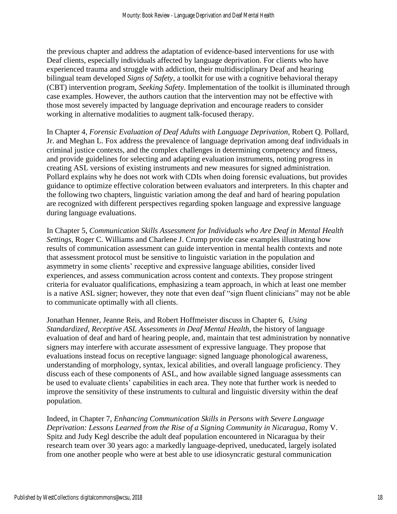the previous chapter and address the adaptation of evidence-based interventions for use with Deaf clients, especially individuals affected by language deprivation. For clients who have experienced trauma and struggle with addiction, their multidisciplinary Deaf and hearing bilingual team developed *Signs of Safety*, a toolkit for use with a cognitive behavioral therapy (CBT) intervention program, *Seeking Safety.* Implementation of the toolkit is illuminated through case examples. However, the authors caution that the intervention may not be effective with those most severely impacted by language deprivation and encourage readers to consider working in alternative modalities to augment talk-focused therapy.

In Chapter 4, *Forensic Evaluation of Deaf Adults with Language Deprivation*, Robert Q. Pollard, Jr. and Meghan L. Fox address the prevalence of language deprivation among deaf individuals in criminal justice contexts, and the complex challenges in determining competency and fitness, and provide guidelines for selecting and adapting evaluation instruments, noting progress in creating ASL versions of existing instruments and new measures for signed administration. Pollard explains why he does not work with CDIs when doing forensic evaluations, but provides guidance to optimize effective coloration between evaluators and interpreters. In this chapter and the following two chapters, linguistic variation among the deaf and hard of hearing population are recognized with different perspectives regarding spoken language and expressive language during language evaluations.

In Chapter 5, *Communication Skills Assessment for Individuals who Are Deaf in Mental Health Settings*, Roger C. Williams and Charlene J. Crump provide case examples illustrating how results of communication assessment can guide intervention in mental health contexts and note that assessment protocol must be sensitive to linguistic variation in the population and asymmetry in some clients' receptive and expressive language abilities, consider lived experiences, and assess communication across content and contexts. They propose stringent criteria for evaluator qualifications, emphasizing a team approach, in which at least one member is a native ASL signer; however, they note that even deaf "sign fluent clinicians" may not be able to communicate optimally with all clients.

Jonathan Henner, Jeanne Reis, and Robert Hoffmeister discuss in Chapter 6, *Using Standardized, Receptive ASL Assessments in Deaf Mental Health,* the history of language evaluation of deaf and hard of hearing people, and, maintain that test administration by nonnative signers may interfere with accurate assessment of expressive language. They propose that evaluations instead focus on receptive language: signed language phonological awareness, understanding of morphology, syntax, lexical abilities, and overall language proficiency. They discuss each of these components of ASL, and how available signed language assessments can be used to evaluate clients' capabilities in each area. They note that further work is needed to improve the sensitivity of these instruments to cultural and linguistic diversity within the deaf population.

Indeed, in Chapter 7, *Enhancing Communication Skills in Persons with Severe Language Deprivation: Lessons Learned from the Rise of a Signing Community in Nicaragua*, Romy V. Spitz and Judy Kegl describe the adult deaf population encountered in Nicaragua by their research team over 30 years ago: a markedly language-deprived, uneducated, largely isolated from one another people who were at best able to use idiosyncratic gestural communication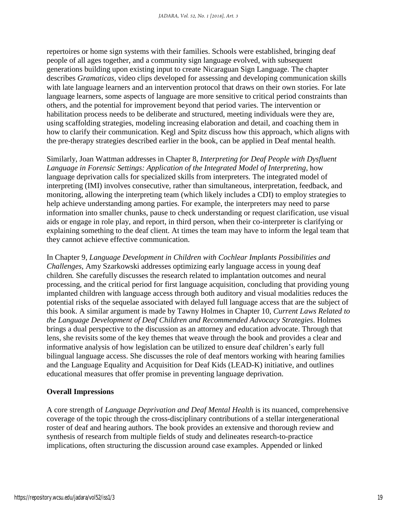repertoires or home sign systems with their families. Schools were established, bringing deaf people of all ages together, and a community sign language evolved, with subsequent generations building upon existing input to create Nicaraguan Sign Language. The chapter describes *Gramaticas,* video clips developed for assessing and developing communication skills with late language learners and an intervention protocol that draws on their own stories. For late language learners, some aspects of language are more sensitive to critical period constraints than others, and the potential for improvement beyond that period varies. The intervention or habilitation process needs to be deliberate and structured, meeting individuals were they are, using scaffolding strategies, modeling increasing elaboration and detail, and coaching them in how to clarify their communication. Kegl and Spitz discuss how this approach, which aligns with the pre-therapy strategies described earlier in the book, can be applied in Deaf mental health.

Similarly, Joan Wattman addresses in Chapter 8, *Interpreting for Deaf People with Dysfluent Language in Forensic Settings: Application of the Integrated Model of Interpreting*, how language deprivation calls for specialized skills from interpreters*.* The integrated model of interpreting (IMI) involves consecutive, rather than simultaneous, interpretation, feedback, and monitoring, allowing the interpreting team (which likely includes a CDI) to employ strategies to help achieve understanding among parties. For example, the interpreters may need to parse information into smaller chunks, pause to check understanding or request clarification, use visual aids or engage in role play, and report, in third person, when their co-interpreter is clarifying or explaining something to the deaf client. At times the team may have to inform the legal team that they cannot achieve effective communication.

In Chapter 9, *Language Development in Children with Cochlear Implants Possibilities and Challenges*, Amy Szarkowski addresses optimizing early language access in young deaf children*.* She carefully discusses the research related to implantation outcomes and neural processing, and the critical period for first language acquisition, concluding that providing young implanted children with language access through both auditory and visual modalities reduces the potential risks of the sequelae associated with delayed full language access that are the subject of this book. A similar argument is made by Tawny Holmes in Chapter 10, *Current Laws Related to the Language Development of Deaf Children and Recommended Advocacy Strategies*. Holmes brings a dual perspective to the discussion as an attorney and education advocate. Through that lens, she revisits some of the key themes that weave through the book and provides a clear and informative analysis of how legislation can be utilized to ensure deaf children's early full bilingual language access. She discusses the role of deaf mentors working with hearing families and the Language Equality and Acquisition for Deaf Kids (LEAD-K) initiative, and outlines educational measures that offer promise in preventing language deprivation.

### **Overall Impressions**

A core strength of *Language Deprivation and Deaf Mental Health* is its nuanced, comprehensive coverage of the topic through the cross-disciplinary contributions of a stellar intergenerational roster of deaf and hearing authors. The book provides an extensive and thorough review and synthesis of research from multiple fields of study and delineates research-to-practice implications, often structuring the discussion around case examples. Appended or linked